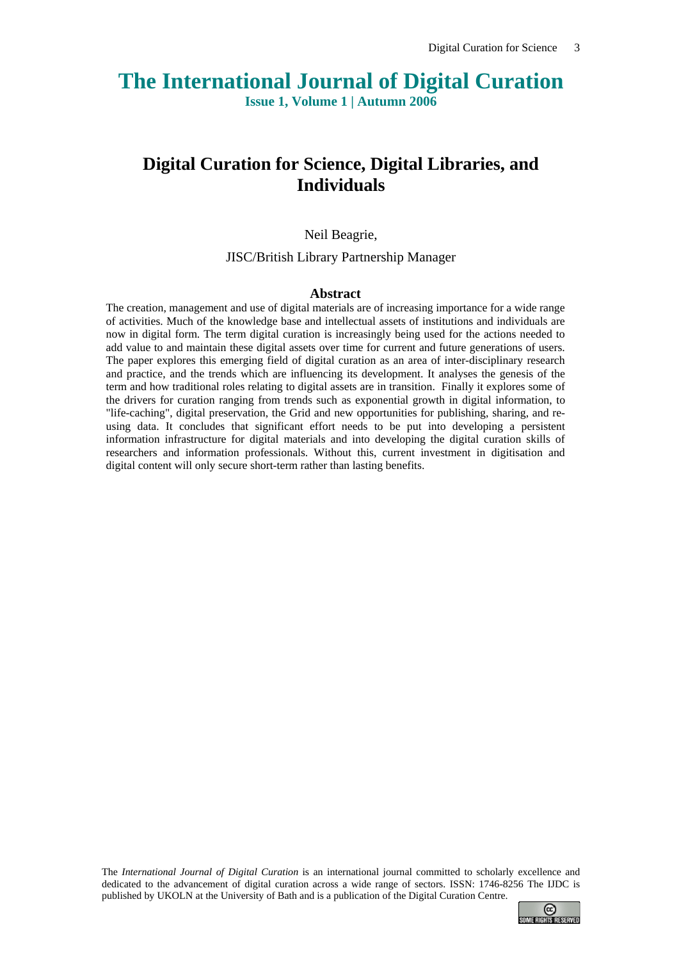# **The International Journal of Digital Curation**

**Issue 1, Volume 1 | Autumn 2006**

# **Digital Curation for Science, Digital Libraries, and Individuals**

#### Neil Beagrie,

JISC/British Library Partnership Manager

#### **Abstract**

The creation, management and use of digital materials are of increasing importance for a wide range of activities. Much of the knowledge base and intellectual assets of institutions and individuals are now in digital form. The term digital curation is increasingly being used for the actions needed to add value to and maintain these digital assets over time for current and future generations of users. The paper explores this emerging field of digital curation as an area of inter-disciplinary research and practice, and the trends which are influencing its development. It analyses the genesis of the term and how traditional roles relating to digital assets are in transition. Finally it explores some of the drivers for curation ranging from trends such as exponential growth in digital information, to "life-caching", digital preservation, the Grid and new opportunities for publishing, sharing, and reusing data. It concludes that significant effort needs to be put into developing a persistent information infrastructure for digital materials and into developing the digital curation skills of researchers and information professionals. Without this, current investment in digitisation and digital content will only secure short-term rather than lasting benefits.

The *International Journal of Digital Curation* is an international journal committed to scholarly excellence and dedicated to the advancement of digital curation across a wide range of sectors. ISSN: 1746-8256 The IJDC is published by UKOLN at the University of Bath and is a publication of the Digital Curation Centre.

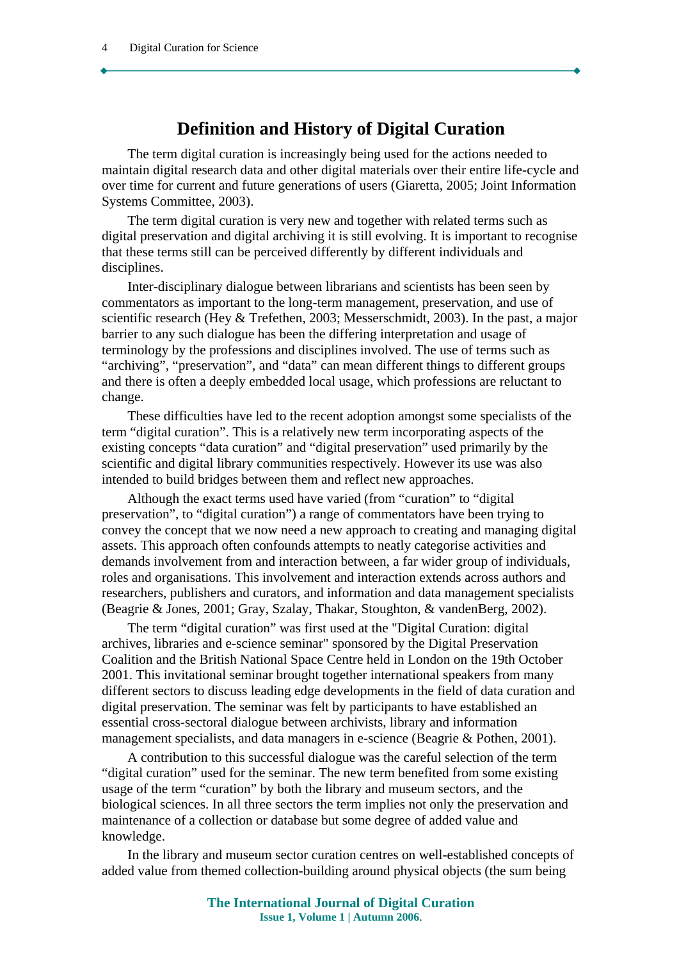# **Definition and History of Digital Curation**

The term digital curation is increasingly being used for the actions needed to maintain digital research data and other digital materials over their entire life-cycle and over time for current and future generations of users (Giaretta, 2005; Joint Information Systems Committee, 2003).

The term digital curation is very new and together with related terms such as digital preservation and digital archiving it is still evolving. It is important to recognise that these terms still can be perceived differently by different individuals and disciplines.

Inter-disciplinary dialogue between librarians and scientists has been seen by commentators as important to the long-term management, preservation, and use of scientific research (Hey & Trefethen, 2003; Messerschmidt, 2003). In the past, a major barrier to any such dialogue has been the differing interpretation and usage of terminology by the professions and disciplines involved. The use of terms such as "archiving", "preservation", and "data" can mean different things to different groups and there is often a deeply embedded local usage, which professions are reluctant to change.

These difficulties have led to the recent adoption amongst some specialists of the term "digital curation". This is a relatively new term incorporating aspects of the existing concepts "data curation" and "digital preservation" used primarily by the scientific and digital library communities respectively. However its use was also intended to build bridges between them and reflect new approaches.

Although the exact terms used have varied (from "curation" to "digital preservation", to "digital curation") a range of commentators have been trying to convey the concept that we now need a new approach to creating and managing digital assets. This approach often confounds attempts to neatly categorise activities and demands involvement from and interaction between, a far wider group of individuals, roles and organisations. This involvement and interaction extends across authors and researchers, publishers and curators, and information and data management specialists (Beagrie & Jones, 2001; Gray, Szalay, Thakar, Stoughton, & vandenBerg, 2002).

The term "digital curation" was first used at the "Digital Curation: digital archives, libraries and e-science seminar" sponsored by the Digital Preservation Coalition and the British National Space Centre held in London on the 19th October 2001. This invitational seminar brought together international speakers from many different sectors to discuss leading edge developments in the field of data curation and digital preservation. The seminar was felt by participants to have established an essential cross-sectoral dialogue between archivists, library and information management specialists, and data managers in e-science (Beagrie & Pothen, 2001).

A contribution to this successful dialogue was the careful selection of the term "digital curation" used for the seminar. The new term benefited from some existing usage of the term "curation" by both the library and museum sectors, and the biological sciences. In all three sectors the term implies not only the preservation and maintenance of a collection or database but some degree of added value and knowledge.

In the library and museum sector curation centres on well-established concepts of added value from themed collection-building around physical objects (the sum being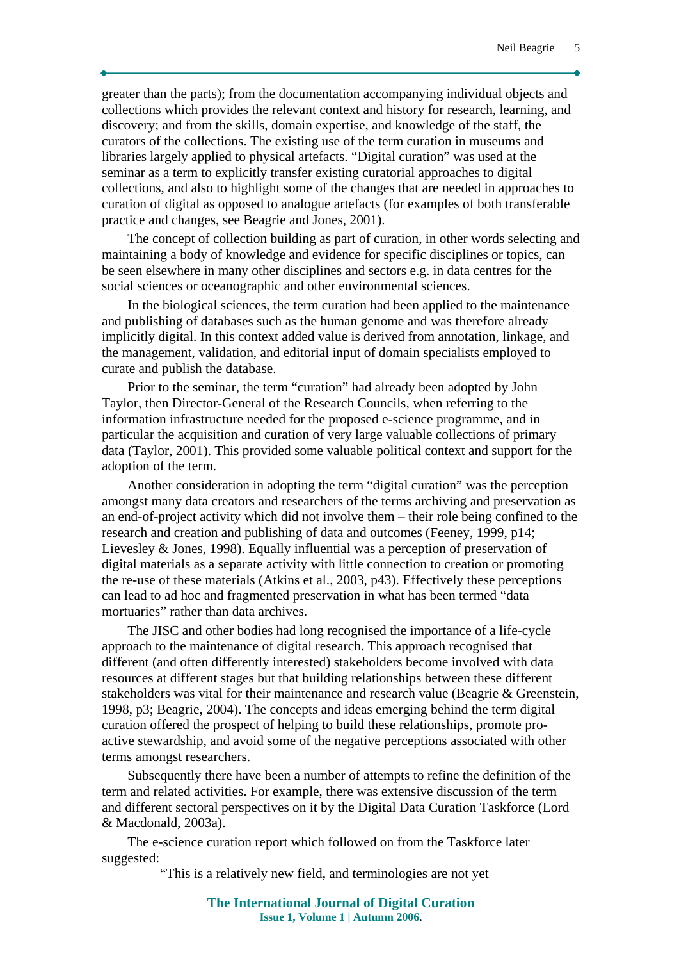greater than the parts); from the documentation accompanying individual objects and collections which provides the relevant context and history for research, learning, and discovery; and from the skills, domain expertise, and knowledge of the staff, the curators of the collections. The existing use of the term curation in museums and libraries largely applied to physical artefacts. "Digital curation" was used at the seminar as a term to explicitly transfer existing curatorial approaches to digital collections, and also to highlight some of the changes that are needed in approaches to curation of digital as opposed to analogue artefacts (for examples of both transferable practice and changes, see Beagrie and Jones, 2001).

The concept of collection building as part of curation, in other words selecting and maintaining a body of knowledge and evidence for specific disciplines or topics, can be seen elsewhere in many other disciplines and sectors e.g. in data centres for the social sciences or oceanographic and other environmental sciences.

In the biological sciences, the term curation had been applied to the maintenance and publishing of databases such as the human genome and was therefore already implicitly digital. In this context added value is derived from annotation, linkage, and the management, validation, and editorial input of domain specialists employed to curate and publish the database.

Prior to the seminar, the term "curation" had already been adopted by John Taylor, then Director-General of the Research Councils, when referring to the information infrastructure needed for the proposed e-science programme, and in particular the acquisition and curation of very large valuable collections of primary data (Taylor, 2001). This provided some valuable political context and support for the adoption of the term.

Another consideration in adopting the term "digital curation" was the perception amongst many data creators and researchers of the terms archiving and preservation as an end-of-project activity which did not involve them – their role being confined to the research and creation and publishing of data and outcomes (Feeney, 1999, p14; Lievesley & Jones, 1998). Equally influential was a perception of preservation of digital materials as a separate activity with little connection to creation or promoting the re-use of these materials (Atkins et al., 2003, p43). Effectively these perceptions can lead to ad hoc and fragmented preservation in what has been termed "data mortuaries" rather than data archives.

The JISC and other bodies had long recognised the importance of a life-cycle approach to the maintenance of digital research. This approach recognised that different (and often differently interested) stakeholders become involved with data resources at different stages but that building relationships between these different stakeholders was vital for their maintenance and research value (Beagrie & Greenstein, 1998, p3; Beagrie, 2004). The concepts and ideas emerging behind the term digital curation offered the prospect of helping to build these relationships, promote proactive stewardship, and avoid some of the negative perceptions associated with other terms amongst researchers.

Subsequently there have been a number of attempts to refine the definition of the term and related activities. For example, there was extensive discussion of the term and different sectoral perspectives on it by the Digital Data Curation Taskforce (Lord & Macdonald, 2003a).

The e-science curation report which followed on from the Taskforce later suggested:

"This is a relatively new field, and terminologies are not yet

**The International Journal of Digital Curation Issue 1, Volume 1 | Autumn 2006**.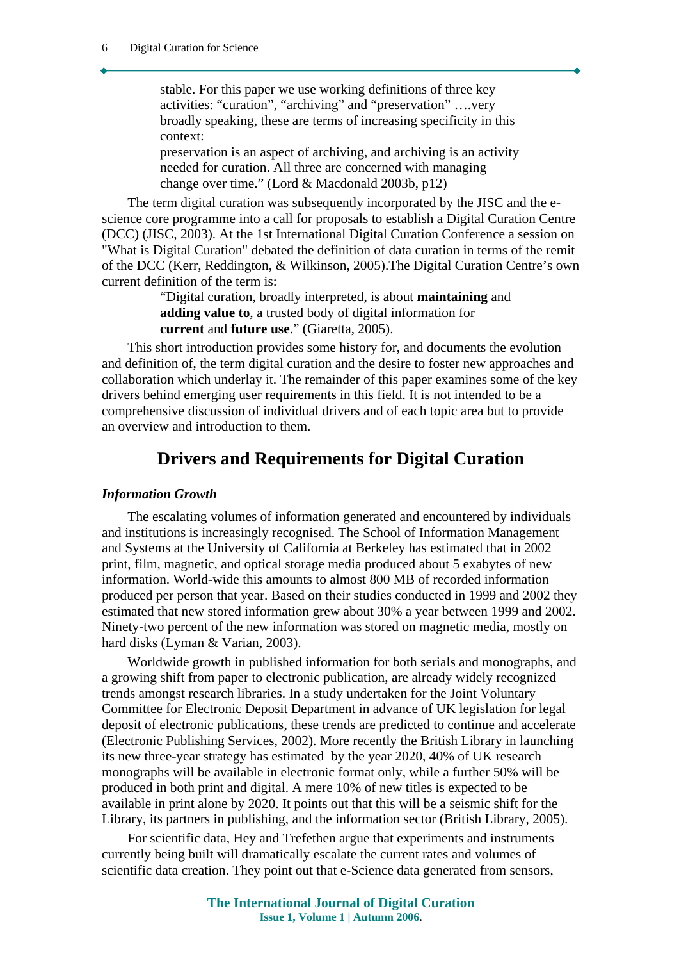stable. For this paper we use working definitions of three key activities: "curation", "archiving" and "preservation" ….very broadly speaking, these are terms of increasing specificity in this context: preservation is an aspect of archiving, and archiving is an activity

needed for curation. All three are concerned with managing change over time." (Lord & Macdonald 2003b, p12)

The term digital curation was subsequently incorporated by the JISC and the escience core programme into a call for proposals to establish a Digital Curation Centre (DCC) (JISC, 2003). At the 1st International Digital Curation Conference a session on "What is Digital Curation" debated the definition of data curation in terms of the remit of the DCC (Kerr, Reddington, & Wilkinson, 2005).The Digital Curation Centre's own current definition of the term is:

> "Digital curation, broadly interpreted, is about **maintaining** and **adding value to**, a trusted body of digital information for **current** and **future use**." (Giaretta, 2005).

This short introduction provides some history for, and documents the evolution and definition of, the term digital curation and the desire to foster new approaches and collaboration which underlay it. The remainder of this paper examines some of the key drivers behind emerging user requirements in this field. It is not intended to be a comprehensive discussion of individual drivers and of each topic area but to provide an overview and introduction to them.

# **Drivers and Requirements for Digital Curation**

#### *Information Growth*

The escalating volumes of information generated and encountered by individuals and institutions is increasingly recognised. The School of Information Management and Systems at the University of California at Berkeley has estimated that in 2002 print, film, magnetic, and optical storage media produced about 5 exabytes of new information. World-wide this amounts to almost 800 MB of recorded information produced per person that year. Based on their studies conducted in 1999 and 2002 they estimated that new stored information grew about 30% a year between 1999 and 2002. Ninety-two percent of the new information was stored on magnetic media, mostly on hard disks (Lyman & Varian, 2003).

Worldwide growth in published information for both serials and monographs, and a growing shift from paper to electronic publication, are already widely recognized trends amongst research libraries. In a study undertaken for the Joint Voluntary Committee for Electronic Deposit Department in advance of UK legislation for legal deposit of electronic publications, these trends are predicted to continue and accelerate (Electronic Publishing Services, 2002). More recently the British Library in launching its new three-year strategy has estimated by the year 2020, 40% of UK research monographs will be available in electronic format only, while a further 50% will be produced in both print and digital. A mere 10% of new titles is expected to be available in print alone by 2020. It points out that this will be a seismic shift for the Library, its partners in publishing, and the information sector (British Library, 2005).

For scientific data, Hey and Trefethen argue that experiments and instruments currently being built will dramatically escalate the current rates and volumes of scientific data creation. They point out that e-Science data generated from sensors,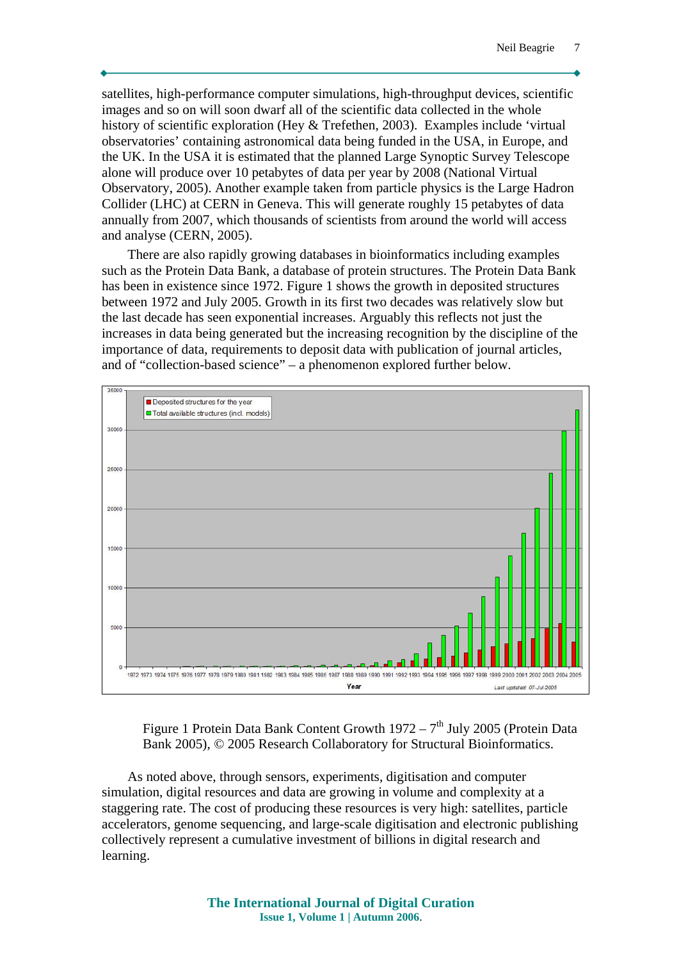satellites, high-performance computer simulations, high-throughput devices, scientific images and so on will soon dwarf all of the scientific data collected in the whole history of scientific exploration (Hey & Trefethen, 2003). Examples include 'virtual observatories' containing astronomical data being funded in the USA, in Europe, and the UK. In the USA it is estimated that the planned Large Synoptic Survey Telescope alone will produce over 10 petabytes of data per year by 2008 (National Virtual Observatory, 2005). Another example taken from particle physics is the Large Hadron Collider (LHC) at CERN in Geneva. This will generate roughly 15 petabytes of data annually from 2007, which thousands of scientists from around the world will access and analyse (CERN, 2005).

There are also rapidly growing databases in bioinformatics including examples such as the Protein Data Bank, a database of protein structures. The Protein Data Bank has been in existence since 1972. Figure 1 shows the growth in deposited structures between 1972 and July 2005. Growth in its first two decades was relatively slow but the last decade has seen exponential increases. Arguably this reflects not just the increases in data being generated but the increasing recognition by the discipline of the importance of data, requirements to deposit data with publication of journal articles, and of "collection-based science" – a phenomenon explored further below.



Figure 1 Protein Data Bank Content Growth  $1972 - 7<sup>th</sup>$  July 2005 (Protein Data Bank 2005), © 2005 Research Collaboratory for Structural Bioinformatics.

As noted above, through sensors, experiments, digitisation and computer simulation, digital resources and data are growing in volume and complexity at a staggering rate. The cost of producing these resources is very high: satellites, particle accelerators, genome sequencing, and large-scale digitisation and electronic publishing collectively represent a cumulative investment of billions in digital research and learning.

> **The International Journal of Digital Curation Issue 1, Volume 1 | Autumn 2006**.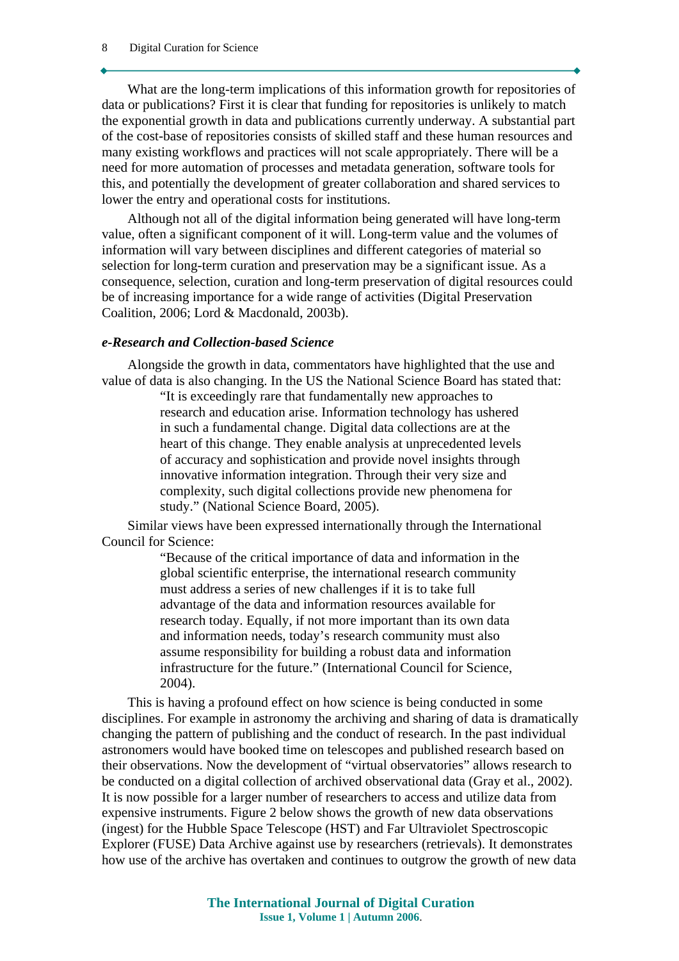What are the long-term implications of this information growth for repositories of data or publications? First it is clear that funding for repositories is unlikely to match the exponential growth in data and publications currently underway. A substantial part of the cost-base of repositories consists of skilled staff and these human resources and many existing workflows and practices will not scale appropriately. There will be a need for more automation of processes and metadata generation, software tools for this, and potentially the development of greater collaboration and shared services to lower the entry and operational costs for institutions.

Although not all of the digital information being generated will have long-term value, often a significant component of it will. Long-term value and the volumes of information will vary between disciplines and different categories of material so selection for long-term curation and preservation may be a significant issue. As a consequence, selection, curation and long-term preservation of digital resources could be of increasing importance for a wide range of activities (Digital Preservation Coalition, 2006; Lord & Macdonald, 2003b).

#### *e-Research and Collection-based Science*

Alongside the growth in data, commentators have highlighted that the use and value of data is also changing. In the US the National Science Board has stated that:

> "It is exceedingly rare that fundamentally new approaches to research and education arise. Information technology has ushered in such a fundamental change. Digital data collections are at the heart of this change. They enable analysis at unprecedented levels of accuracy and sophistication and provide novel insights through innovative information integration. Through their very size and complexity, such digital collections provide new phenomena for study." (National Science Board, 2005).

Similar views have been expressed internationally through the International Council for Science:

> "Because of the critical importance of data and information in the global scientific enterprise, the international research community must address a series of new challenges if it is to take full advantage of the data and information resources available for research today. Equally, if not more important than its own data and information needs, today's research community must also assume responsibility for building a robust data and information infrastructure for the future." (International Council for Science, 2004).

This is having a profound effect on how science is being conducted in some disciplines. For example in astronomy the archiving and sharing of data is dramatically changing the pattern of publishing and the conduct of research. In the past individual astronomers would have booked time on telescopes and published research based on their observations. Now the development of "virtual observatories" allows research to be conducted on a digital collection of archived observational data (Gray et al., 2002). It is now possible for a larger number of researchers to access and utilize data from expensive instruments. Figure 2 below shows the growth of new data observations (ingest) for the Hubble Space Telescope (HST) and Far Ultraviolet Spectroscopic Explorer (FUSE) Data Archive against use by researchers (retrievals). It demonstrates how use of the archive has overtaken and continues to outgrow the growth of new data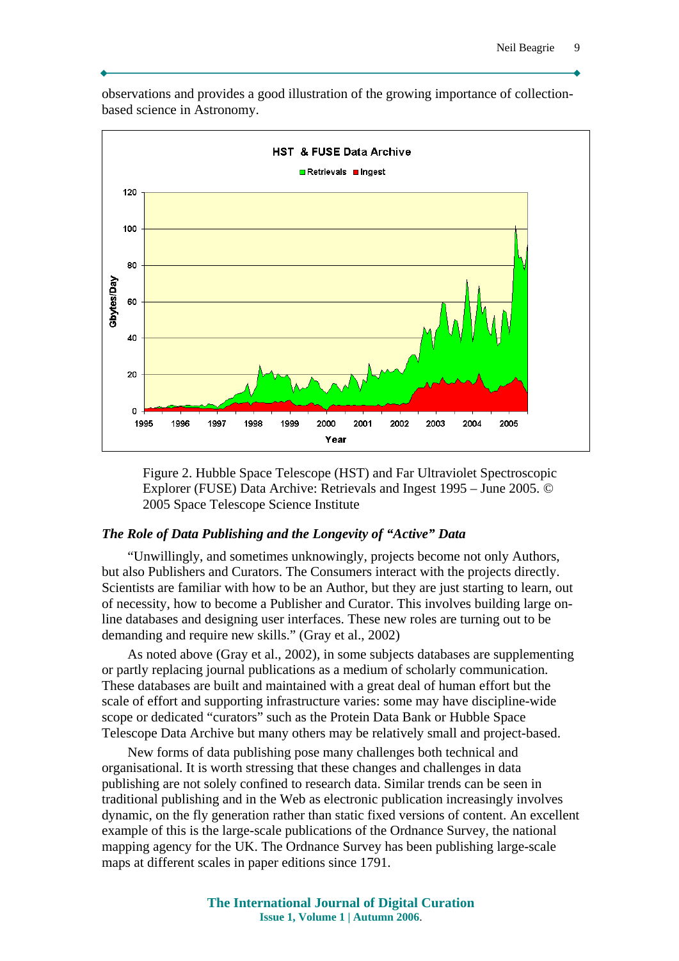HST & FUSE Data Archive **□** Retrievals ■ Ingest 120 100 80 **abytes/Day** 60 40 20  $\overline{0}$ 1995 1996 1997 1998 1999 2000 2001 2002 2003 2004 2005 Year

observations and provides a good illustration of the growing importance of collectionbased science in Astronomy.

Figure 2. Hubble Space Telescope (HST) and Far Ultraviolet Spectroscopic Explorer (FUSE) Data Archive: Retrievals and Ingest 1995 – June 2005. © 2005 Space Telescope Science Institute

#### *The Role of Data Publishing and the Longevity of "Active" Data*

"Unwillingly, and sometimes unknowingly, projects become not only Authors, but also Publishers and Curators. The Consumers interact with the projects directly. Scientists are familiar with how to be an Author, but they are just starting to learn, out of necessity, how to become a Publisher and Curator. This involves building large online databases and designing user interfaces. These new roles are turning out to be demanding and require new skills." (Gray et al., 2002)

As noted above (Gray et al., 2002), in some subjects databases are supplementing or partly replacing journal publications as a medium of scholarly communication. These databases are built and maintained with a great deal of human effort but the scale of effort and supporting infrastructure varies: some may have discipline-wide scope or dedicated "curators" such as the Protein Data Bank or Hubble Space Telescope Data Archive but many others may be relatively small and project-based.

New forms of data publishing pose many challenges both technical and organisational. It is worth stressing that these changes and challenges in data publishing are not solely confined to research data. Similar trends can be seen in traditional publishing and in the Web as electronic publication increasingly involves dynamic, on the fly generation rather than static fixed versions of content. An excellent example of this is the large-scale publications of the Ordnance Survey, the national mapping agency for the UK. The Ordnance Survey has been publishing large-scale maps at different scales in paper editions since 1791.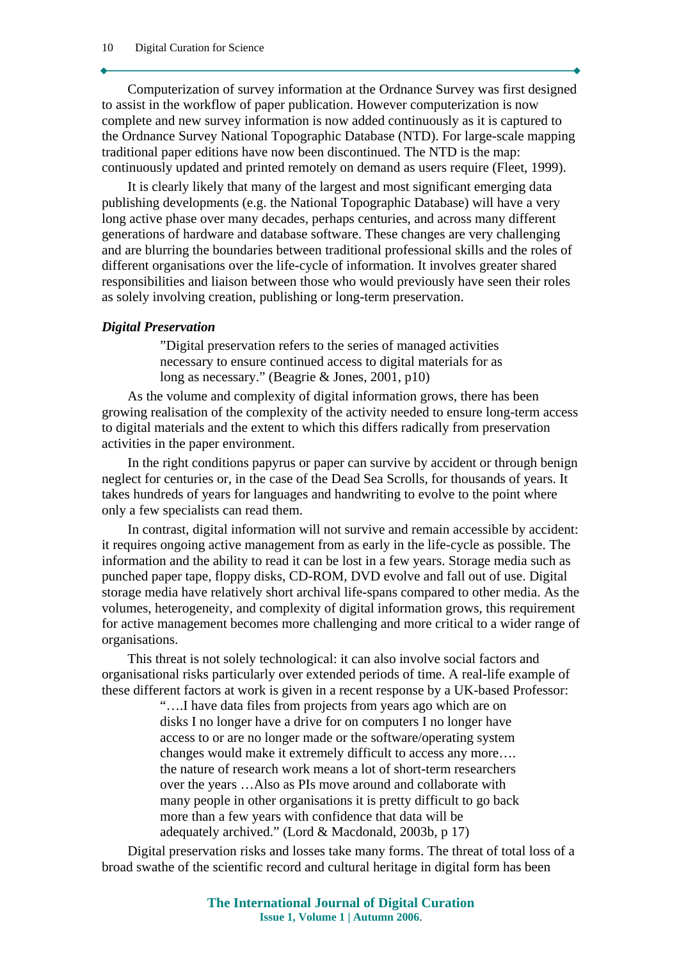Computerization of survey information at the Ordnance Survey was first designed to assist in the workflow of paper publication. However computerization is now complete and new survey information is now added continuously as it is captured to the Ordnance Survey National Topographic Database (NTD). For large-scale mapping traditional paper editions have now been discontinued. The NTD is the map: continuously updated and printed remotely on demand as users require (Fleet, 1999).

It is clearly likely that many of the largest and most significant emerging data publishing developments (e.g. the National Topographic Database) will have a very long active phase over many decades, perhaps centuries, and across many different generations of hardware and database software. These changes are very challenging and are blurring the boundaries between traditional professional skills and the roles of different organisations over the life-cycle of information. It involves greater shared responsibilities and liaison between those who would previously have seen their roles as solely involving creation, publishing or long-term preservation.

#### *Digital Preservation*

"Digital preservation refers to the series of managed activities necessary to ensure continued access to digital materials for as long as necessary." (Beagrie & Jones, 2001, p10)

As the volume and complexity of digital information grows, there has been growing realisation of the complexity of the activity needed to ensure long-term access to digital materials and the extent to which this differs radically from preservation activities in the paper environment.

In the right conditions papyrus or paper can survive by accident or through benign neglect for centuries or, in the case of the Dead Sea Scrolls, for thousands of years. It takes hundreds of years for languages and handwriting to evolve to the point where only a few specialists can read them.

In contrast, digital information will not survive and remain accessible by accident: it requires ongoing active management from as early in the life-cycle as possible. The information and the ability to read it can be lost in a few years. Storage media such as punched paper tape, floppy disks, CD-ROM, DVD evolve and fall out of use. Digital storage media have relatively short archival life-spans compared to other media. As the volumes, heterogeneity, and complexity of digital information grows, this requirement for active management becomes more challenging and more critical to a wider range of organisations.

This threat is not solely technological: it can also involve social factors and organisational risks particularly over extended periods of time. A real-life example of these different factors at work is given in a recent response by a UK-based Professor:

> "….I have data files from projects from years ago which are on disks I no longer have a drive for on computers I no longer have access to or are no longer made or the software/operating system changes would make it extremely difficult to access any more…. the nature of research work means a lot of short-term researchers over the years …Also as PIs move around and collaborate with many people in other organisations it is pretty difficult to go back more than a few years with confidence that data will be adequately archived." (Lord & Macdonald, 2003b, p 17)

Digital preservation risks and losses take many forms. The threat of total loss of a broad swathe of the scientific record and cultural heritage in digital form has been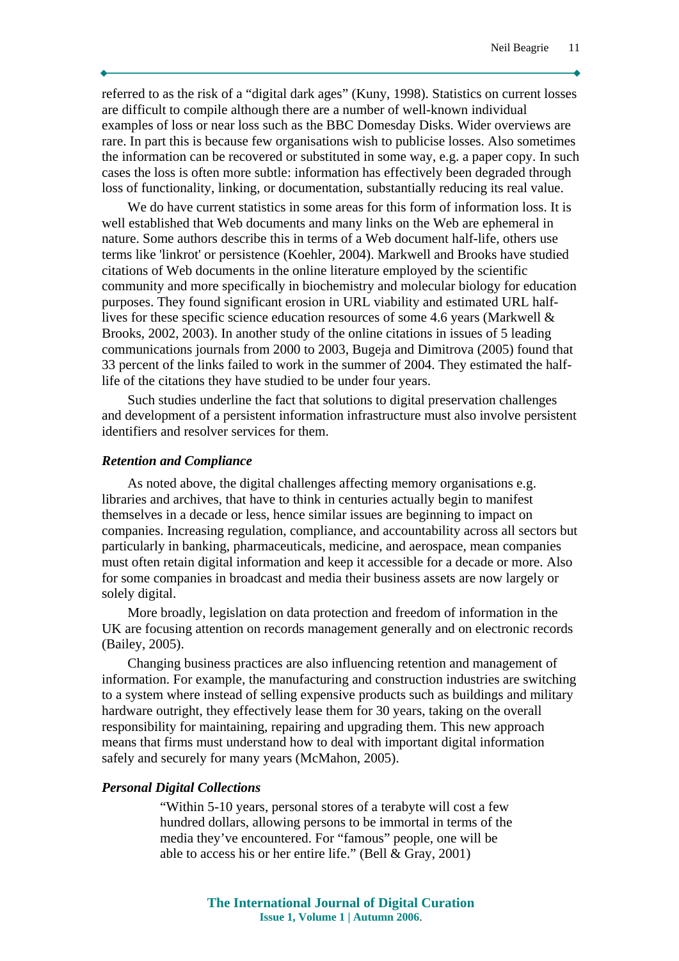referred to as the risk of a "digital dark ages" (Kuny, 1998). Statistics on current losses are difficult to compile although there are a number of well-known individual examples of loss or near loss such as the BBC Domesday Disks. Wider overviews are rare. In part this is because few organisations wish to publicise losses. Also sometimes the information can be recovered or substituted in some way, e.g. a paper copy. In such cases the loss is often more subtle: information has effectively been degraded through loss of functionality, linking, or documentation, substantially reducing its real value.

We do have current statistics in some areas for this form of information loss. It is well established that Web documents and many links on the Web are ephemeral in nature. Some authors describe this in terms of a Web document half-life, others use terms like 'linkrot' or persistence (Koehler, 2004). Markwell and Brooks have studied citations of Web documents in the online literature employed by the scientific community and more specifically in biochemistry and molecular biology for education purposes. They found significant erosion in URL viability and estimated URL halflives for these specific science education resources of some 4.6 years (Markwell & Brooks, 2002, 2003). In another study of the online citations in issues of 5 leading communications journals from 2000 to 2003, Bugeja and Dimitrova (2005) found that 33 percent of the links failed to work in the summer of 2004. They estimated the halflife of the citations they have studied to be under four years.

Such studies underline the fact that solutions to digital preservation challenges and development of a persistent information infrastructure must also involve persistent identifiers and resolver services for them.

#### *Retention and Compliance*

As noted above, the digital challenges affecting memory organisations e.g. libraries and archives, that have to think in centuries actually begin to manifest themselves in a decade or less, hence similar issues are beginning to impact on companies. Increasing regulation, compliance, and accountability across all sectors but particularly in banking, pharmaceuticals, medicine, and aerospace, mean companies must often retain digital information and keep it accessible for a decade or more. Also for some companies in broadcast and media their business assets are now largely or solely digital.

More broadly, legislation on data protection and freedom of information in the UK are focusing attention on records management generally and on electronic records (Bailey, 2005).

Changing business practices are also influencing retention and management of information. For example, the manufacturing and construction industries are switching to a system where instead of selling expensive products such as buildings and military hardware outright, they effectively lease them for 30 years, taking on the overall responsibility for maintaining, repairing and upgrading them. This new approach means that firms must understand how to deal with important digital information safely and securely for many years (McMahon, 2005).

#### *Personal Digital Collections*

"Within 5-10 years, personal stores of a terabyte will cost a few hundred dollars, allowing persons to be immortal in terms of the media they've encountered. For "famous" people, one will be able to access his or her entire life." (Bell & Gray, 2001)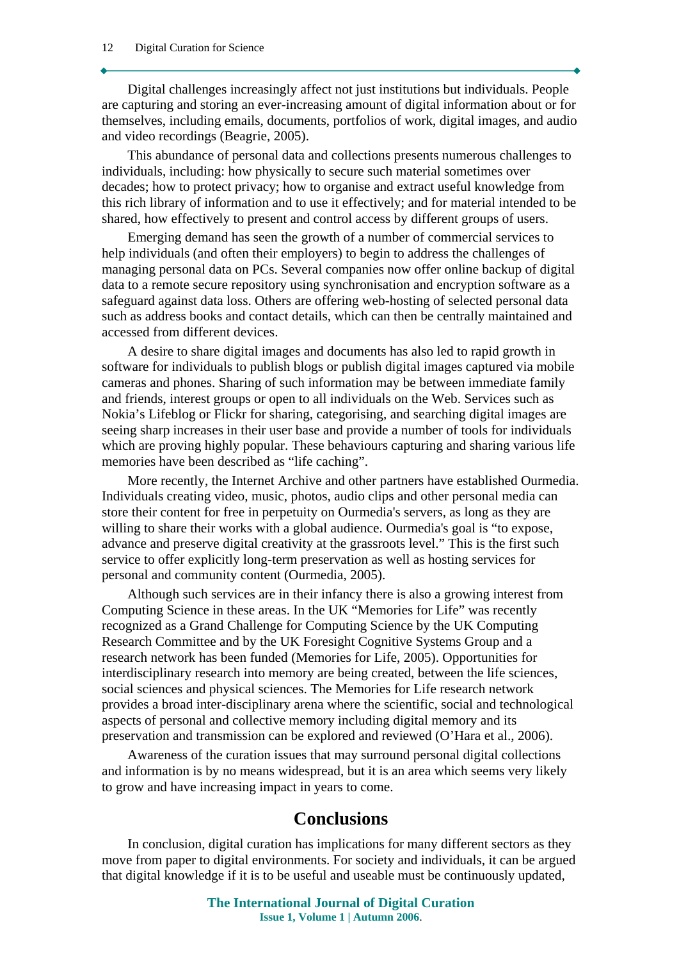Digital challenges increasingly affect not just institutions but individuals. People are capturing and storing an ever-increasing amount of digital information about or for themselves, including emails, documents, portfolios of work, digital images, and audio and video recordings (Beagrie, 2005).

This abundance of personal data and collections presents numerous challenges to individuals, including: how physically to secure such material sometimes over decades; how to protect privacy; how to organise and extract useful knowledge from this rich library of information and to use it effectively; and for material intended to be shared, how effectively to present and control access by different groups of users.

Emerging demand has seen the growth of a number of commercial services to help individuals (and often their employers) to begin to address the challenges of managing personal data on PCs. Several companies now offer online backup of digital data to a remote secure repository using synchronisation and encryption software as a safeguard against data loss. Others are offering web-hosting of selected personal data such as address books and contact details, which can then be centrally maintained and accessed from different devices.

A desire to share digital images and documents has also led to rapid growth in software for individuals to publish blogs or publish digital images captured via mobile cameras and phones. Sharing of such information may be between immediate family and friends, interest groups or open to all individuals on the Web. Services such as Nokia's Lifeblog or Flickr for sharing, categorising, and searching digital images are seeing sharp increases in their user base and provide a number of tools for individuals which are proving highly popular. These behaviours capturing and sharing various life memories have been described as "life caching".

More recently, the Internet Archive and other partners have established Ourmedia. Individuals creating video, music, photos, audio clips and other personal media can store their content for free in perpetuity on Ourmedia's servers, as long as they are willing to share their works with a global audience. Ourmedia's goal is "to expose, advance and preserve digital creativity at the grassroots level." This is the first such service to offer explicitly long-term preservation as well as hosting services for personal and community content (Ourmedia, 2005).

Although such services are in their infancy there is also a growing interest from Computing Science in these areas. In the UK "Memories for Life" was recently recognized as a Grand Challenge for Computing Science by the UK Computing Research Committee and by the UK Foresight Cognitive Systems Group and a research network has been funded (Memories for Life, 2005). Opportunities for interdisciplinary research into memory are being created, between the life sciences, social sciences and physical sciences. The Memories for Life research network provides a broad inter-disciplinary arena where the scientific, social and technological aspects of personal and collective memory including digital memory and its preservation and transmission can be explored and reviewed (O'Hara et al., 2006).

Awareness of the curation issues that may surround personal digital collections and information is by no means widespread, but it is an area which seems very likely to grow and have increasing impact in years to come.

## **Conclusions**

In conclusion, digital curation has implications for many different sectors as they move from paper to digital environments. For society and individuals, it can be argued that digital knowledge if it is to be useful and useable must be continuously updated,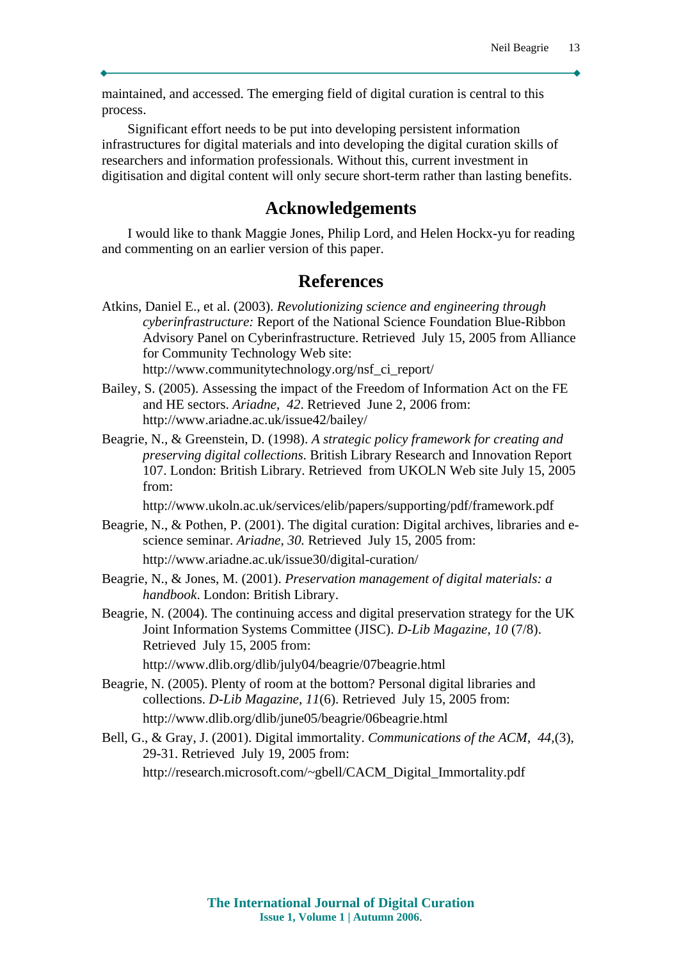maintained, and accessed. The emerging field of digital curation is central to this process.

Significant effort needs to be put into developing persistent information infrastructures for digital materials and into developing the digital curation skills of researchers and information professionals. Without this, current investment in digitisation and digital content will only secure short-term rather than lasting benefits.

### **Acknowledgements**

I would like to thank Maggie Jones, Philip Lord, and Helen Hockx-yu for reading and commenting on an earlier version of this paper.

### **References**

- Atkins, Daniel E., et al. (2003). *Revolutionizing science and engineering through cyberinfrastructure:* Report of the National Science Foundation Blue-Ribbon Advisory Panel on Cyberinfrastructure. Retrieved July 15, 2005 from Alliance for Community Technology Web site: http://www.communitytechnology.org/nsf\_ci\_report/
- Bailey, S. (2005). Assessing the impact of the Freedom of Information Act on the FE and HE sectors. *Ariadne*, *42*. Retrieved June 2, 2006 from: http://www.ariadne.ac.uk/issue42/bailey/
- Beagrie, N., & Greenstein, D. (1998). *A strategic policy framework for creating and preserving digital collections*. British Library Research and Innovation Report 107. London: British Library. Retrieved from UKOLN Web site July 15, 2005 from:

http://www.ukoln.ac.uk/services/elib/papers/supporting/pdf/framework.pdf

- Beagrie, N., & Pothen, P. (2001). The digital curation: Digital archives, libraries and escience seminar. *Ariadne, 30.* Retrieved July 15, 2005 from: http://www.ariadne.ac.uk/issue30/digital-curation/
- Beagrie, N., & Jones, M. (2001). *Preservation management of digital materials: a handbook*. London: British Library.
- Beagrie, N. (2004). The continuing access and digital preservation strategy for the UK Joint Information Systems Committee (JISC). *D-Lib Magazine, 10* (7/8). Retrieved July 15, 2005 from:

http://www.dlib.org/dlib/july04/beagrie/07beagrie.html

- Beagrie, N. (2005). Plenty of room at the bottom? Personal digital libraries and collections. *D-Lib Magazine, 11*(6). Retrieved July 15, 2005 from: http://www.dlib.org/dlib/june05/beagrie/06beagrie.html
- Bell, G., & Gray, J. (2001). Digital immortality. *Communications of the ACM*, *44,*(3), 29-31. Retrieved July 19, 2005 from: http://research.microsoft.com/~gbell/CACM\_Digital\_Immortality.pdf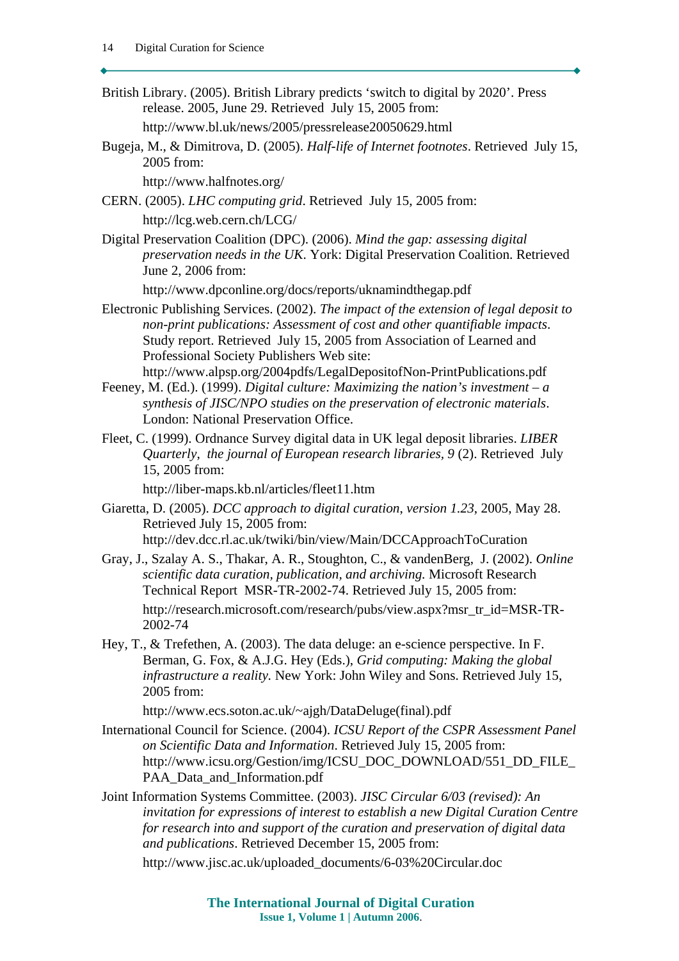- British Library. (2005). British Library predicts 'switch to digital by 2020'. Press release. 2005, June 29. Retrieved July 15, 2005 from: http://www.bl.uk/news/2005/pressrelease20050629.html
- Bugeja, M., & Dimitrova, D. (2005). *Half-life of Internet footnotes*. Retrieved July 15, 2005 from:

http://www.halfnotes.org/

- CERN. (2005). *LHC computing grid*. Retrieved July 15, 2005 from: http://lcg.web.cern.ch/LCG/
- Digital Preservation Coalition (DPC). (2006). *Mind the gap: assessing digital preservation needs in the UK*. York: Digital Preservation Coalition. Retrieved June 2, 2006 from:

http://www.dpconline.org/docs/reports/uknamindthegap.pdf

Electronic Publishing Services. (2002). *The impact of the extension of legal deposit to non-print publications: Assessment of cost and other quantifiable impacts*. Study report. Retrieved July 15, 2005 from Association of Learned and Professional Society Publishers Web site:

http://www.alpsp.org/2004pdfs/LegalDepositofNon-PrintPublications.pdf

- Feeney, M. (Ed.). (1999). *Digital culture: Maximizing the nation's investment a synthesis of JISC/NPO studies on the preservation of electronic materials*. London: National Preservation Office.
- Fleet, C. (1999). Ordnance Survey digital data in UK legal deposit libraries. *LIBER Quarterly*, *the journal of European research libraries, 9* (2). Retrieved July 15, 2005 from:

http://liber-maps.kb.nl/articles/fleet11.htm

- Giaretta, D. (2005). *DCC approach to digital curation*, *version 1.23*, 2005, May 28. Retrieved July 15, 2005 from: http://dev.dcc.rl.ac.uk/twiki/bin/view/Main/DCCApproachToCuration
- Gray, J., Szalay A. S., Thakar, A. R., Stoughton, C., & vandenBerg, J. (2002). *Online scientific data curation, publication, and archiving.* Microsoft Research Technical Report MSR-TR-2002-74. Retrieved July 15, 2005 from: http://research.microsoft.com/research/pubs/view.aspx?msr\_tr\_id=MSR-TR-2002-74
- Hey, T., & Trefethen, A. (2003). The data deluge: an e-science perspective. In F. Berman, G. Fox, & A.J.G. Hey (Eds.), *Grid computing: Making the global infrastructure a reality.* New York: John Wiley and Sons. Retrieved July 15, 2005 from:

http://www.ecs.soton.ac.uk/~ajgh/DataDeluge(final).pdf

- International Council for Science. (2004). *ICSU Report of the CSPR Assessment Panel on Scientific Data and Information*. Retrieved July 15, 2005 from: http://www.icsu.org/Gestion/img/ICSU\_DOC\_DOWNLOAD/551\_DD\_FILE\_ PAA\_Data\_and\_Information.pdf
- Joint Information Systems Committee. (2003). *JISC Circular 6/03 (revised): An invitation for expressions of interest to establish a new Digital Curation Centre for research into and support of the curation and preservation of digital data and publications*. Retrieved December 15, 2005 from:

http://www.jisc.ac.uk/uploaded\_documents/6-03%20Circular.doc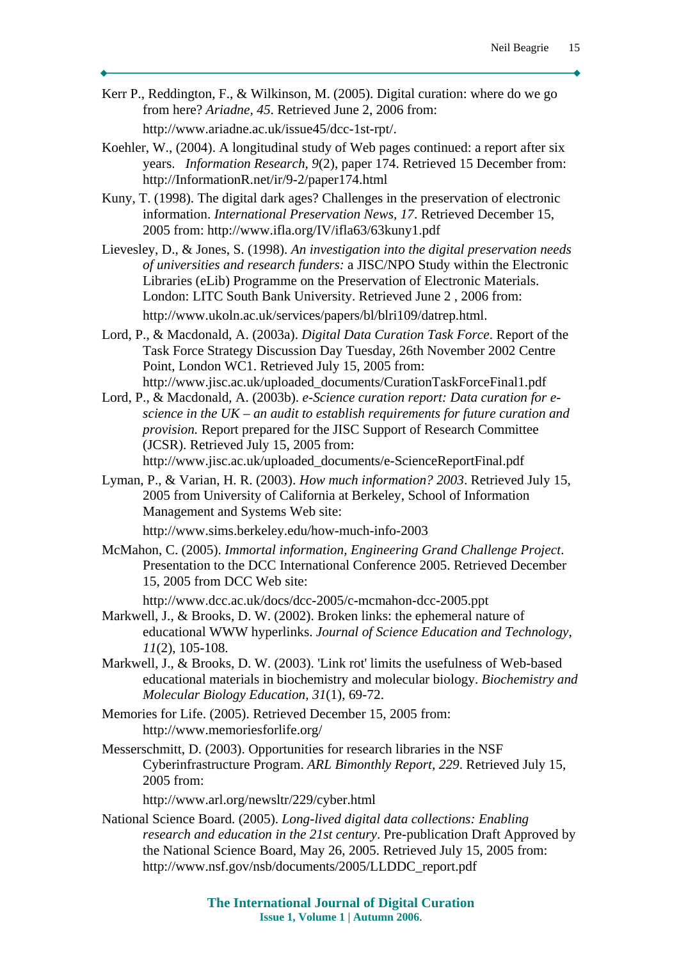Kerr P., Reddington, F., & Wilkinson, M. (2005). Digital curation: where do we go from here? *Ariadne, 45*. Retrieved June 2, 2006 from:

http://www.ariadne.ac.uk/issue45/dcc-1st-rpt/.

- Koehler, W., (2004). A longitudinal study of Web pages continued: a report after six years. *Information Research, 9*(2), paper 174. Retrieved 15 December from: http://InformationR.net/ir/9-2/paper174.html
- Kuny, T. (1998). The digital dark ages? Challenges in the preservation of electronic information. *International Preservation News, 17*. Retrieved December 15, 2005 from: http://www.ifla.org/IV/ifla63/63kuny1.pdf
- Lievesley, D., & Jones, S. (1998). *An investigation into the digital preservation needs of universities and research funders:* a JISC/NPO Study within the Electronic Libraries (eLib) Programme on the Preservation of Electronic Materials. London: LITC South Bank University. Retrieved June 2 , 2006 from: http://www.ukoln.ac.uk/services/papers/bl/blri109/datrep.html.
- Lord, P., & Macdonald, A. (2003a). *Digital Data Curation Task Force*. Report of the Task Force Strategy Discussion Day Tuesday, 26th November 2002 Centre Point, London WC1. Retrieved July 15, 2005 from: http://www.jisc.ac.uk/uploaded\_documents/CurationTaskForceFinal1.pdf
- Lord, P., & Macdonald, A. (2003b). *e-Science curation report: Data curation for escience in the UK – an audit to establish requirements for future curation and provision.* Report prepared for the JISC Support of Research Committee (JCSR). Retrieved July 15, 2005 from: http://www.jisc.ac.uk/uploaded\_documents/e-ScienceReportFinal.pdf
- Lyman, P., & Varian, H. R. (2003). *How much information? 2003*. Retrieved July 15, 2005 from University of California at Berkeley, School of Information Management and Systems Web site:

http://www.sims.berkeley.edu/how-much-info-2003

McMahon, C. (2005). *Immortal information, Engineering Grand Challenge Project*. Presentation to the DCC International Conference 2005. Retrieved December 15, 2005 from DCC Web site:

http://www.dcc.ac.uk/docs/dcc-2005/c-mcmahon-dcc-2005.ppt

- Markwell, J., & Brooks, D. W. (2002). Broken links: the ephemeral nature of educational WWW hyperlinks. *Journal of Science Education and Technology, 11*(2), 105-108.
- Markwell, J., & Brooks, D. W. (2003). 'Link rot' limits the usefulness of Web-based educational materials in biochemistry and molecular biology. *Biochemistry and Molecular Biology Education, 31*(1), 69-72.
- Memories for Life. (2005). Retrieved December 15, 2005 from: http://www.memoriesforlife.org/
- Messerschmitt, D. (2003). Opportunities for research libraries in the NSF Cyberinfrastructure Program. *ARL Bimonthly Report, 229*. Retrieved July 15, 2005 from:

http://www.arl.org/newsltr/229/cyber.html

National Science Board. (2005). *Long-lived digital data collections: Enabling research and education in the 21st century*. Pre-publication Draft Approved by the National Science Board, May 26, 2005. Retrieved July 15, 2005 from: http://www.nsf.gov/nsb/documents/2005/LLDDC\_report.pdf